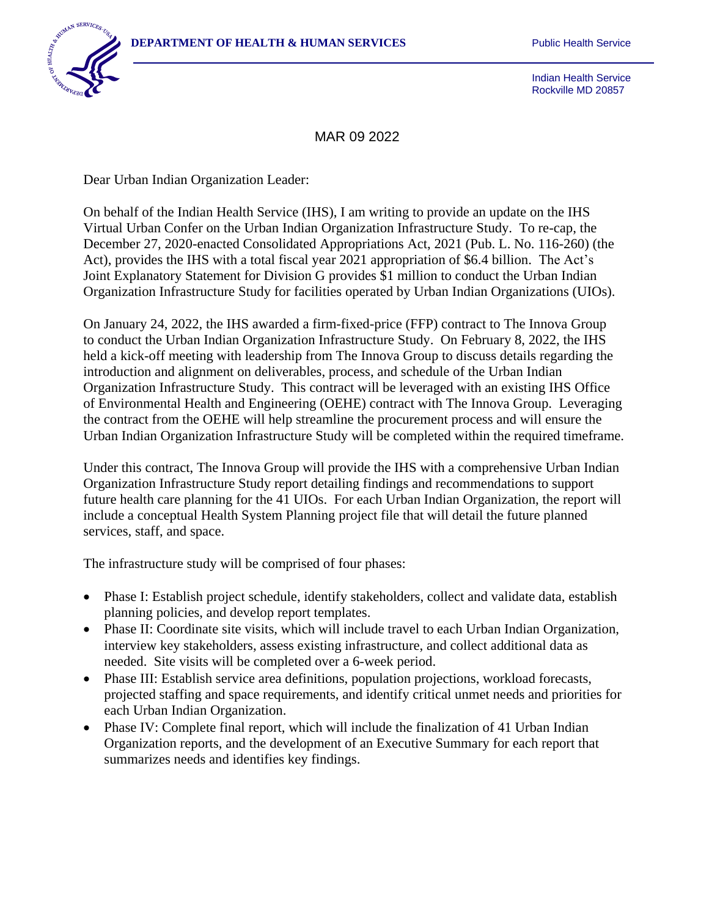

Indian Health Service Rockville MD 20857

MAR 09 2022

Dear Urban Indian Organization Leader:

On behalf of the Indian Health Service (IHS), I am writing to provide an update on the IHS Virtual Urban Confer on the Urban Indian Organization Infrastructure Study. To re-cap, the December 27, 2020-enacted Consolidated Appropriations Act, 2021 (Pub. L. No. 116-260) (the Act), provides the IHS with a total fiscal year 2021 appropriation of \$6.4 billion. The Act's Joint Explanatory Statement for Division G provides \$1 million to conduct the Urban Indian Organization Infrastructure Study for facilities operated by Urban Indian Organizations (UIOs).

On January 24, 2022, the IHS awarded a firm-fixed-price (FFP) contract to The Innova Group to conduct the Urban Indian Organization Infrastructure Study. On February 8, 2022, the IHS held a kick-off meeting with leadership from The Innova Group to discuss details regarding the introduction and alignment on deliverables, process, and schedule of the Urban Indian Organization Infrastructure Study. This contract will be leveraged with an existing IHS Office of Environmental Health and Engineering (OEHE) contract with The Innova Group. Leveraging the contract from the OEHE will help streamline the procurement process and will ensure the Urban Indian Organization Infrastructure Study will be completed within the required timeframe.

Under this contract, The Innova Group will provide the IHS with a comprehensive Urban Indian Organization Infrastructure Study report detailing findings and recommendations to support future health care planning for the 41 UIOs. For each Urban Indian Organization, the report will include a conceptual Health System Planning project file that will detail the future planned services, staff, and space.

The infrastructure study will be comprised of four phases:

- Phase I: Establish project schedule, identify stakeholders, collect and validate data, establish planning policies, and develop report templates.
- Phase II: Coordinate site visits, which will include travel to each Urban Indian Organization, interview key stakeholders, assess existing infrastructure, and collect additional data as needed. Site visits will be completed over a 6-week period.
- Phase III: Establish service area definitions, population projections, workload forecasts, projected staffing and space requirements, and identify critical unmet needs and priorities for each Urban Indian Organization.
- Phase IV: Complete final report, which will include the finalization of 41 Urban Indian Organization reports, and the development of an Executive Summary for each report that summarizes needs and identifies key findings.